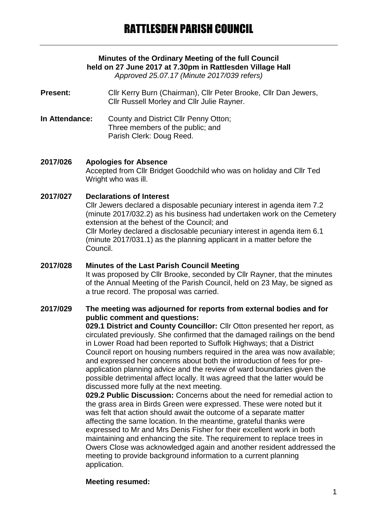# **Minutes of the Ordinary Meeting of the full Council held on 27 June 2017 at 7.30pm in Rattlesden Village Hall**

*Approved 25.07.17 (Minute 2017/039 refers)*

**Present:** Cllr Kerry Burn (Chairman), Cllr Peter Brooke, Cllr Dan Jewers, Cllr Russell Morley and Cllr Julie Rayner.

**In Attendance:** County and District Cllr Penny Otton; Three members of the public; and Parish Clerk: Doug Reed.

# **2017/026 Apologies for Absence**

Accepted from Cllr Bridget Goodchild who was on holiday and Cllr Ted Wright who was ill.

### **2017/027 Declarations of Interest**

Cllr Jewers declared a disposable pecuniary interest in agenda item 7.2 (minute 2017/032.2) as his business had undertaken work on the Cemetery extension at the behest of the Council; and Cllr Morley declared a disclosable pecuniary interest in agenda item 6.1 (minute 2017/031.1) as the planning applicant in a matter before the Council.

#### **2017/028 Minutes of the Last Parish Council Meeting** It was proposed by Cllr Brooke, seconded by Cllr Rayner, that the minutes of the Annual Meeting of the Parish Council, held on 23 May, be signed as a true record. The proposal was carried.

### **2017/029 The meeting was adjourned for reports from external bodies and for public comment and questions:**

**029.1 District and County Councillor:** Cllr Otton presented her report, as circulated previously. She confirmed that the damaged railings on the bend in Lower Road had been reported to Suffolk Highways; that a District Council report on housing numbers required in the area was now available; and expressed her concerns about both the introduction of fees for preapplication planning advice and the review of ward boundaries given the possible detrimental affect locally. It was agreed that the latter would be discussed more fully at the next meeting.

**029.2 Public Discussion:** Concerns about the need for remedial action to the grass area in Birds Green were expressed. These were noted but it was felt that action should await the outcome of a separate matter affecting the same location. In the meantime, grateful thanks were expressed to Mr and Mrs Denis Fisher for their excellent work in both maintaining and enhancing the site. The requirement to replace trees in Owers Close was acknowledged again and another resident addressed the meeting to provide background information to a current planning application.

### **Meeting resumed:**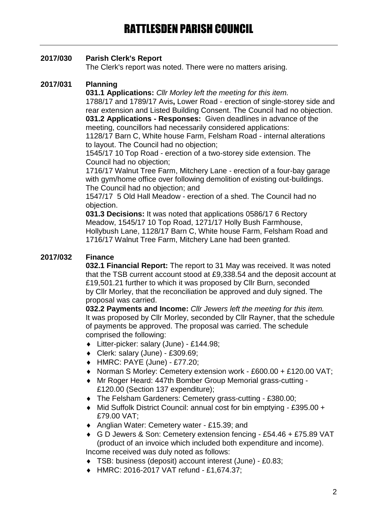# **2017/030 Parish Clerk's Report**

The Clerk's report was noted. There were no matters arising.

# **2017/031 Planning**

**031.1 Applications:** *Cllr Morley left the meeting for this item.*

1788/17 and 1789/17 Avis**,** Lower Road - erection of single-storey side and rear extension and Listed Building Consent. The Council had no objection. **031.2 Applications - Responses:** Given deadlines in advance of the meeting, councillors had necessarily considered applications:

1128/17 Barn C, White house Farm, Felsham Road - internal alterations to layout. The Council had no objection;

1545/17 10 Top Road - erection of a two-storey side extension. The Council had no objection;

1716/17 Walnut Tree Farm, Mitchery Lane - erection of a four-bay garage with gym/home office over following demolition of existing out-buildings. The Council had no objection; and

1547/17 5 Old Hall Meadow - erection of a shed. The Council had no objection.

**031.3 Decisions:** It was noted that applications 0586/17 6 Rectory Meadow, 1545/17 10 Top Road, 1271/17 Holly Bush Farmhouse, Hollybush Lane, 1128/17 Barn C, White house Farm, Felsham Road and 1716/17 Walnut Tree Farm, Mitchery Lane had been granted.

# **2017/032 Finance**

**032.1 Financial Report:** The report to 31 May was received. It was noted that the TSB current account stood at £9,338.54 and the deposit account at £19,501.21 further to which it was proposed by Cllr Burn, seconded by Cllr Morley, that the reconciliation be approved and duly signed. The proposal was carried.

**032.2 Payments and Income:** *Cllr Jewers left the meeting for this item.* It was proposed by Cllr Morley, seconded by Cllr Rayner, that the schedule of payments be approved. The proposal was carried. The schedule comprised the following:

- Litter-picker: salary (June) £144.98;
- Clerk: salary (June) £309.69;
- HMRC: PAYE (June) £77.20;
- ◆ Norman S Morley: Cemetery extension work £600.00 + £120.00 VAT;
- Mr Roger Heard: 447th Bomber Group Memorial grass-cutting £120.00 (Section 137 expenditure);
- The Felsham Gardeners: Cemetery grass-cutting £380.00;
- ◆ Mid Suffolk District Council: annual cost for bin emptying £395.00 + £79.00 VAT;
- Anglian Water: Cemetery water £15.39; and
- G D Jewers & Son: Cemetery extension fencing £54.46 + £75.89 VAT (product of an invoice which included both expenditure and income). Income received was duly noted as follows:
- TSB: business (deposit) account interest (June) £0.83;
- HMRC: 2016-2017 VAT refund £1,674.37;